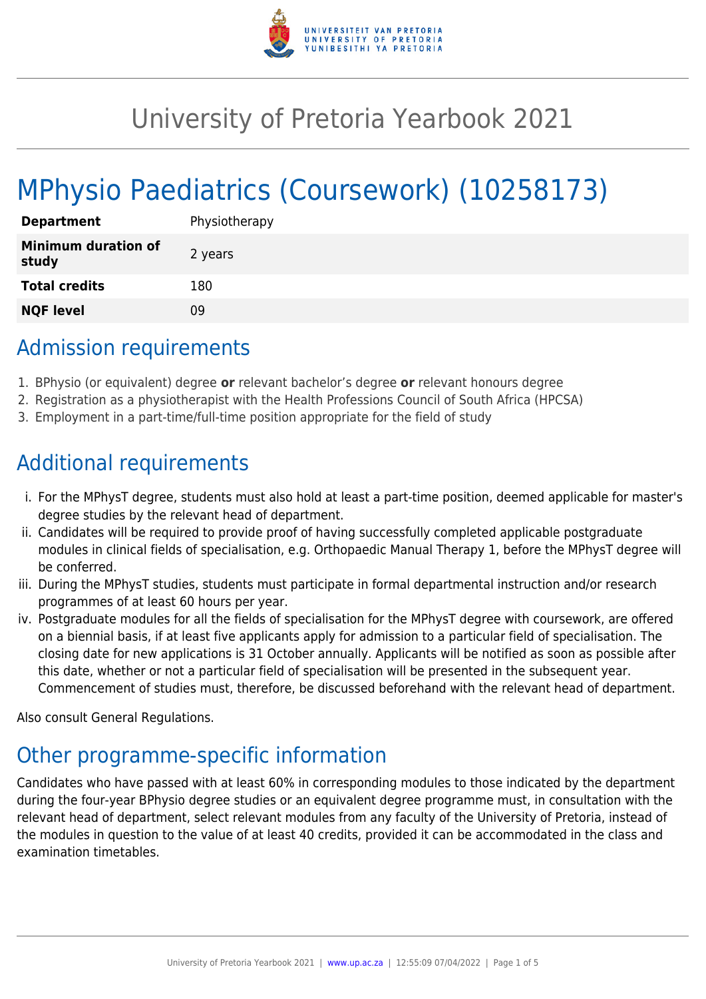

# University of Pretoria Yearbook 2021

# MPhysio Paediatrics (Coursework) (10258173)

| <b>Department</b>                   | Physiotherapy |
|-------------------------------------|---------------|
| <b>Minimum duration of</b><br>study | 2 years       |
| <b>Total credits</b>                | 180           |
| <b>NQF level</b>                    | ΩÓ            |

# Admission requirements

- 1. BPhysio (or equivalent) degree **or** relevant bachelor's degree **or** relevant honours degree
- 2. Registration as a physiotherapist with the Health Professions Council of South Africa (HPCSA)
- 3. Employment in a part-time/full-time position appropriate for the field of study

# Additional requirements

- i. For the MPhysT degree, students must also hold at least a part-time position, deemed applicable for master's degree studies by the relevant head of department.
- ii. Candidates will be required to provide proof of having successfully completed applicable postgraduate modules in clinical fields of specialisation, e.g. Orthopaedic Manual Therapy 1, before the MPhysT degree will be conferred.
- iii. During the MPhysT studies, students must participate in formal departmental instruction and/or research programmes of at least 60 hours per year.
- iv. Postgraduate modules for all the fields of specialisation for the MPhysT degree with coursework, are offered on a biennial basis, if at least five applicants apply for admission to a particular field of specialisation. The closing date for new applications is 31 October annually. Applicants will be notified as soon as possible after this date, whether or not a particular field of specialisation will be presented in the subsequent year. Commencement of studies must, therefore, be discussed beforehand with the relevant head of department.

Also consult General Regulations.

# Other programme-specific information

Candidates who have passed with at least 60% in corresponding modules to those indicated by the department during the four-year BPhysio degree studies or an equivalent degree programme must, in consultation with the relevant head of department, select relevant modules from any faculty of the University of Pretoria, instead of the modules in question to the value of at least 40 credits, provided it can be accommodated in the class and examination timetables.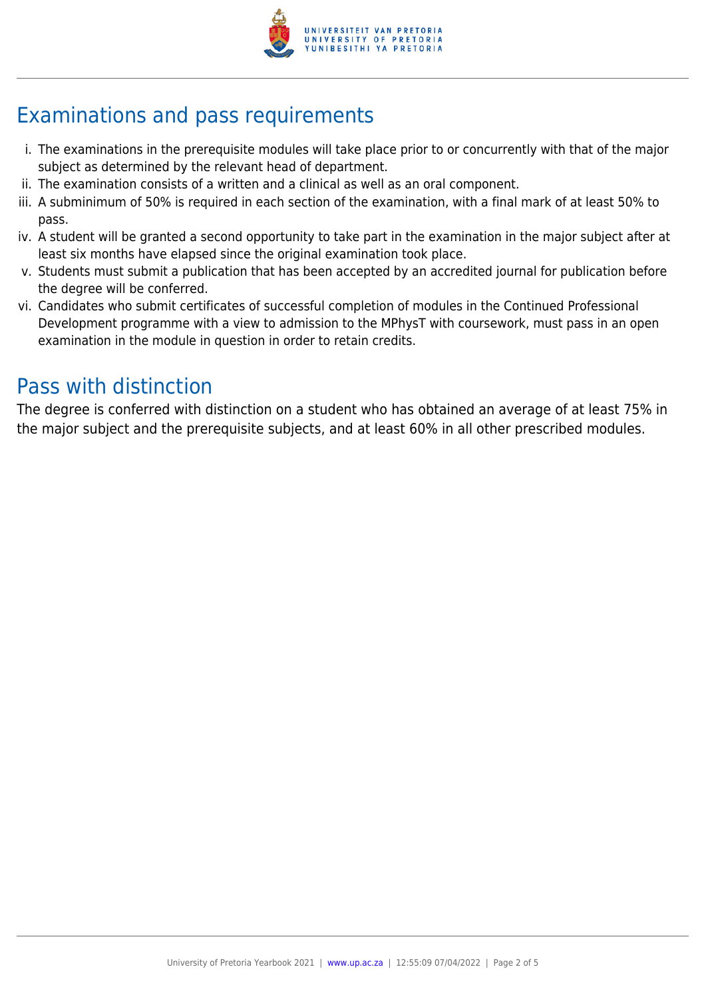

# Examinations and pass requirements

- i. The examinations in the prerequisite modules will take place prior to or concurrently with that of the major subject as determined by the relevant head of department.
- ii. The examination consists of a written and a clinical as well as an oral component.
- iii. A subminimum of 50% is required in each section of the examination, with a final mark of at least 50% to pass.
- iv. A student will be granted a second opportunity to take part in the examination in the major subject after at least six months have elapsed since the original examination took place.
- v. Students must submit a publication that has been accepted by an accredited journal for publication before the degree will be conferred.
- vi. Candidates who submit certificates of successful completion of modules in the Continued Professional Development programme with a view to admission to the MPhysT with coursework, must pass in an open examination in the module in question in order to retain credits.

## Pass with distinction

The degree is conferred with distinction on a student who has obtained an average of at least 75% in the major subject and the prerequisite subjects, and at least 60% in all other prescribed modules.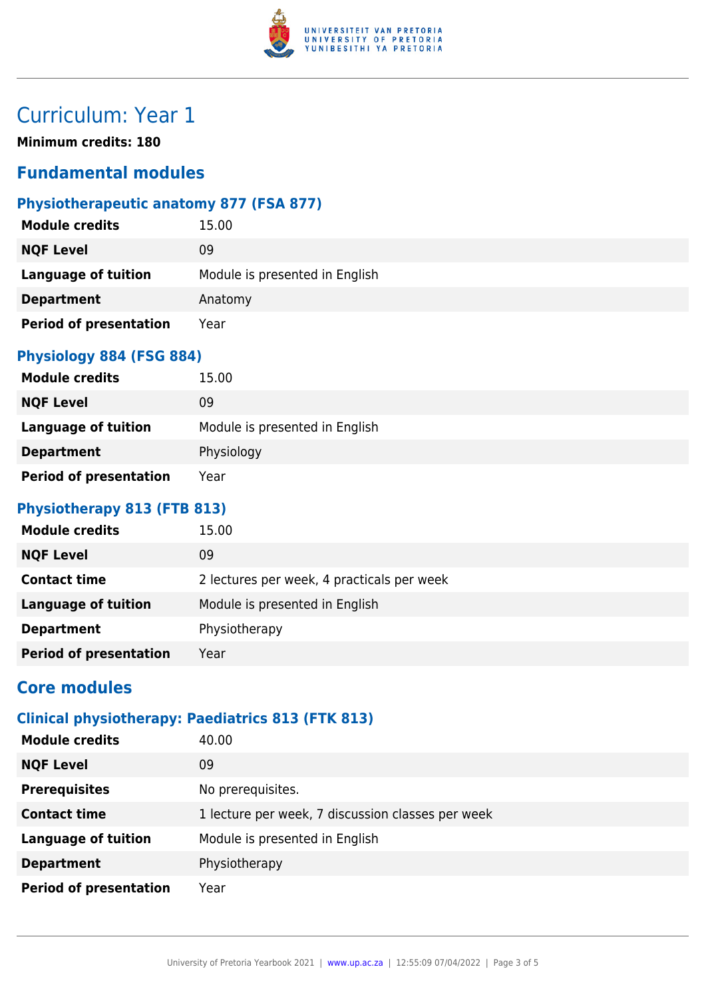

# Curriculum: Year 1

**Minimum credits: 180**

### **Fundamental modules**

### **Physiotherapeutic anatomy 877 (FSA 877)**

| <b>Module credits</b>         | 15.00                          |
|-------------------------------|--------------------------------|
| <b>NQF Level</b>              | 09                             |
| <b>Language of tuition</b>    | Module is presented in English |
| <b>Department</b>             | Anatomy                        |
| <b>Period of presentation</b> | Year                           |

#### **Physiology 884 (FSG 884)**

| <b>Module credits</b>         | 15.00                          |
|-------------------------------|--------------------------------|
| <b>NQF Level</b>              | 09                             |
| <b>Language of tuition</b>    | Module is presented in English |
| <b>Department</b>             | Physiology                     |
| <b>Period of presentation</b> | Year                           |

#### **Physiotherapy 813 (FTB 813)**

| <b>Module credits</b>         | 15.00                                      |
|-------------------------------|--------------------------------------------|
| <b>NQF Level</b>              | 09                                         |
| <b>Contact time</b>           | 2 lectures per week, 4 practicals per week |
| <b>Language of tuition</b>    | Module is presented in English             |
| <b>Department</b>             | Physiotherapy                              |
| <b>Period of presentation</b> | Year                                       |

## **Core modules**

### **Clinical physiotherapy: Paediatrics 813 (FTK 813)**

| <b>Module credits</b>         | 40.00                                             |
|-------------------------------|---------------------------------------------------|
| <b>NQF Level</b>              | 09                                                |
| <b>Prerequisites</b>          | No prerequisites.                                 |
| <b>Contact time</b>           | 1 lecture per week, 7 discussion classes per week |
| <b>Language of tuition</b>    | Module is presented in English                    |
| <b>Department</b>             | Physiotherapy                                     |
| <b>Period of presentation</b> | Year                                              |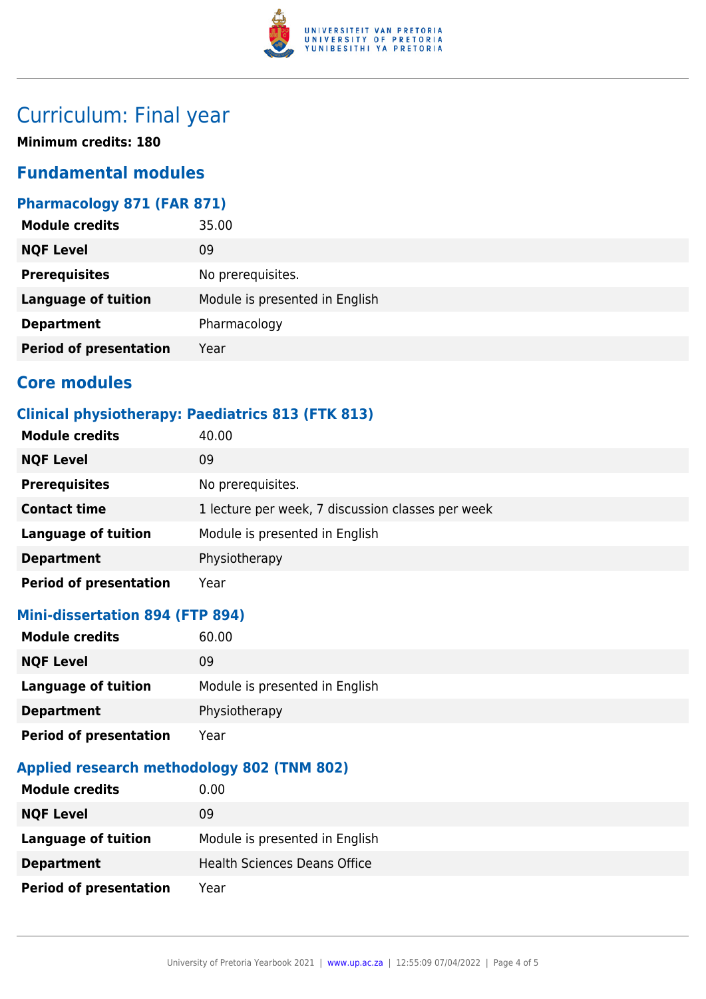

# Curriculum: Final year

**Minimum credits: 180**

### **Fundamental modules**

### **Pharmacology 871 (FAR 871)**

| 35.00                          |
|--------------------------------|
| 09                             |
| No prerequisites.              |
| Module is presented in English |
| Pharmacology                   |
| Year                           |
|                                |

### **Core modules**

### **Clinical physiotherapy: Paediatrics 813 (FTK 813)**

| <b>Module credits</b>         | 40.00                                             |
|-------------------------------|---------------------------------------------------|
| <b>NQF Level</b>              | 09                                                |
| <b>Prerequisites</b>          | No prerequisites.                                 |
| <b>Contact time</b>           | 1 lecture per week, 7 discussion classes per week |
| <b>Language of tuition</b>    | Module is presented in English                    |
| <b>Department</b>             | Physiotherapy                                     |
| <b>Period of presentation</b> | Year                                              |

#### **Mini-dissertation 894 (FTP 894)**

| <b>Module credits</b>         | 60.00                          |
|-------------------------------|--------------------------------|
| <b>NQF Level</b>              | 09                             |
| <b>Language of tuition</b>    | Module is presented in English |
| <b>Department</b>             | Physiotherapy                  |
| <b>Period of presentation</b> | Year                           |

#### **Applied research methodology 802 (TNM 802)**

| <b>Module credits</b>         | $0.00\,$                            |
|-------------------------------|-------------------------------------|
| <b>NQF Level</b>              | 09                                  |
| Language of tuition           | Module is presented in English      |
| <b>Department</b>             | <b>Health Sciences Deans Office</b> |
| <b>Period of presentation</b> | Year                                |